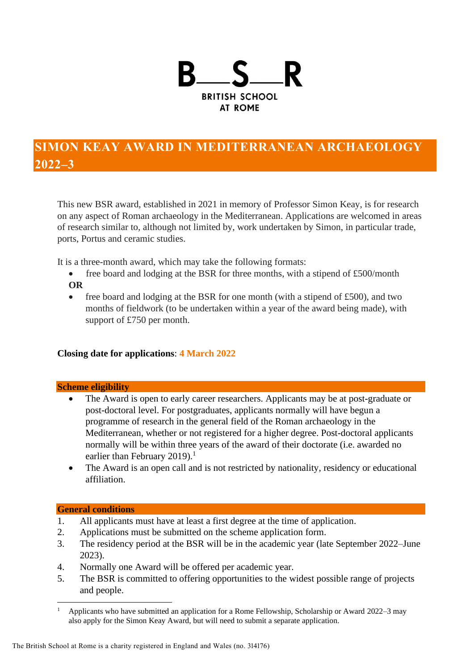

# **SIMON KEAY AWARD IN MEDITERRANEAN ARCHAEOLOGY 2022–**

This new BSR award, established in 2021 in memory of Professor Simon Keay, is for research on any aspect of Roman archaeology in the Mediterranean. Applications are welcomed in areas of research similar to, although not limited by, work undertaken by Simon, in particular trade, ports, Portus and ceramic studies.

It is a three-month award, which may take the following formats:

- free board and lodging at the BSR for three months, with a stipend of £500/month **OR**
- free board and lodging at the BSR for one month (with a stipend of £500), and two months of fieldwork (to be undertaken within a year of the award being made), with support of £750 per month.

## **Closing date for applications**: **4 March 2022**

#### **Scheme eligibility**

- The Award is open to early career researchers. Applicants may be at post-graduate or post-doctoral level. For postgraduates, applicants normally will have begun a programme of research in the general field of the Roman archaeology in the Mediterranean, whether or not registered for a higher degree. Post-doctoral applicants normally will be within three years of the award of their doctorate (i.e. awarded no earlier than February 2019).<sup>1</sup>
- The Award is an open call and is not restricted by nationality, residency or educational affiliation.

## **General conditions**

- 1. All applicants must have at least a first degree at the time of application.
- 2. Applications must be submitted on the scheme application form.
- 3. The residency period at the BSR will be in the academic year (late September 2022–June 2023).
- 4. Normally one Award will be offered per academic year.
- 5. The BSR is committed to offering opportunities to the widest possible range of projects and people.

<sup>&</sup>lt;sup>1</sup> Applicants who have submitted an application for a Rome Fellowship, Scholarship or Award 2022–3 may also apply for the Simon Keay Award, but will need to submit a separate application.